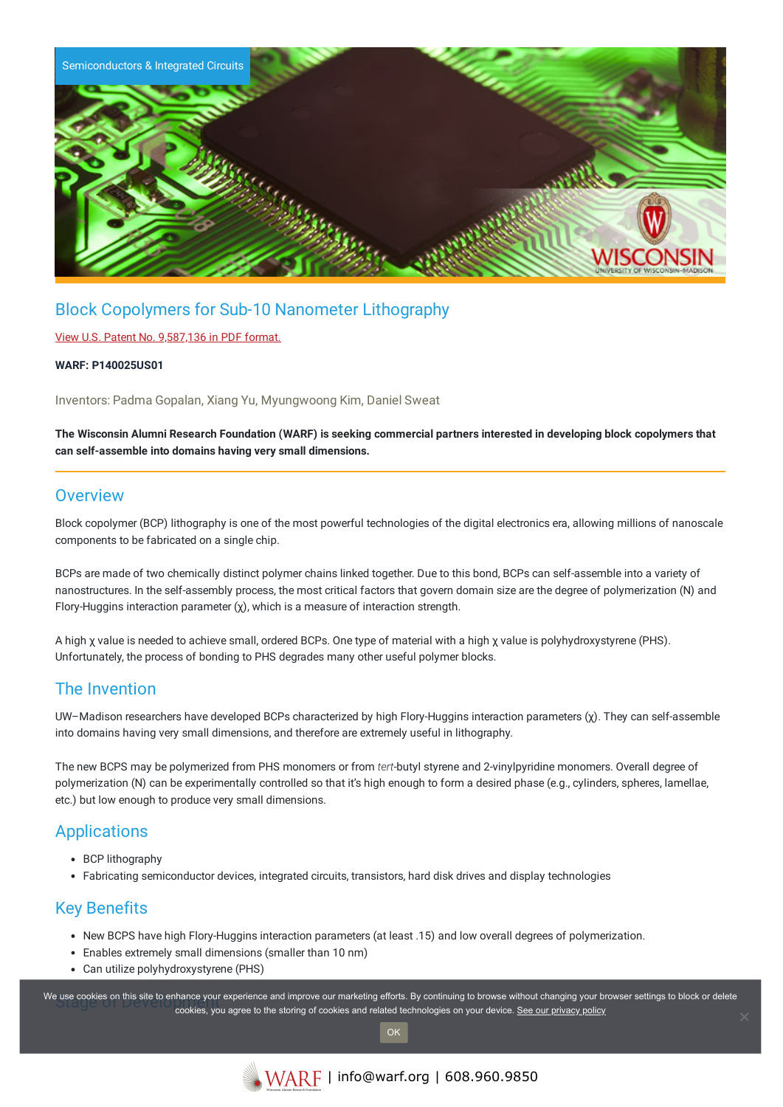

# Block Copolymers for Sub-10 Nanometer Lithography

#### View U.S. Patent No. [9,587,136](https://www.warf.org/wp-content/uploads/technologies/ipstatus/P140025US01.pdf) in PDF format.

#### **WARF: P140025US01**

Inventors: Padma Gopalan, Xiang Yu, Myungwoong Kim, Daniel Sweat

The Wisconsin Alumni Research Foundation (WARF) is seeking commercial partners interested in developing block copolymers that **can self-assemble into domains having very small dimensions.**

### **Overview**

Block copolymer (BCP) lithography is one of the most powerful technologies of the digital electronics era, allowing millions of nanoscale components to be fabricated on a single chip.

BCPs are made of two chemically distinct polymer chains linked together. Due to this bond, BCPs can self-assemble into a variety of nanostructures. In the self-assembly process, the most critical factors that govern domain size are the degree of polymerization (N) and Flory-Huggins interaction parameter (χ), which is a measure of interaction strength.

A high χ value is needed to achieve small, ordered BCPs. One type of material with a high χ value is polyhydroxystyrene (PHS). Unfortunately, the process of bonding to PHS degrades many other useful polymer blocks.

## The Invention

UW–Madison researchers have developed BCPs characterized by high Flory-Huggins interaction parameters (χ). They can self-assemble into domains having very small dimensions, and therefore are extremely useful in lithography.

The new BCPS may be polymerized from PHS monomers or from *tert*-butyl styrene and 2-vinylpyridine monomers. Overall degree of polymerization (N) can be experimentally controlled so that it's high enough to form a desired phase (e.g., cylinders, spheres, lamellae, etc.) but low enough to produce very small dimensions.

### Applications

- BCP lithography
- Fabricating semiconductor devices, integrated circuits, transistors, hard disk drives and display technologies

## Key Benefits

- New BCPS have high Flory-Huggins interaction parameters (at least .15) and low overall degrees of polymerization.
- Enables extremely small dimensions (smaller than 10 nm)
- Can utilize polyhydroxystyrene (PHS)

We use cookies on this site to enhance your experience and improve our marketing efforts. By continuing to browse without changing your browser settings to block or delete continuing to browser settings to block or delete cookies, you agree to the storing of cookies and related technologies on your device. [See our privacy policy](https://www.warf.org/privacy-policy/)